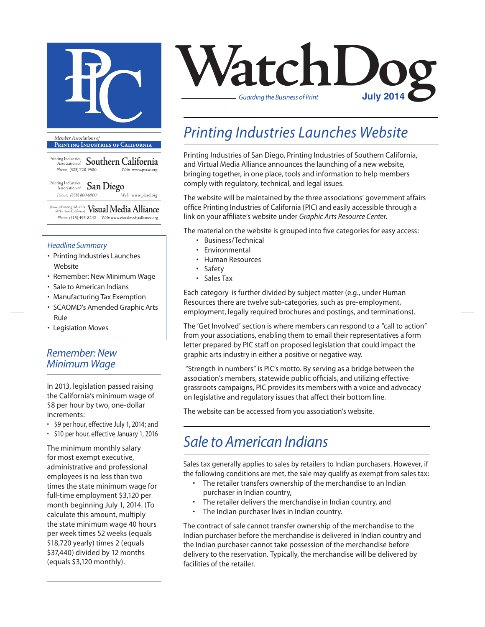

**Printing Industries of California**

- Printing Industries Association of **Southern California** *Phone:* (323) 728-9500 *Web:* www.piasc.org
- Printing Industries Association of **San Diego** *Phone: (858) 800-6900 Web:* www.piasd.org

(formerly Printing Industries of Northern California) **Visual Media Alliance** *Phone:* (415) 495-8242 *Web:* www.visualmediaalliance.org

#### *Headline Summary*

- Printing Industries Launches Website
- Remember: New Minimum Wage
- Sale to American Indians
- Manufacturing Tax Exemption
- SCAQMD's Amended Graphic Arts Rule
- Legislation Moves

#### *Remember: New Minimum Wage*

In 2013, legislation passed raising the California's minimum wage of \$8 per hour by two, one-dollar increments:

• \$9 per hour, effective July 1, 2014; and

• \$10 per hour, effective January 1, 2016

The minimum monthly salary for most exempt executive, administrative and professional employees is no less than two times the state minimum wage for full-time employment \$3,120 per month beginning July 1, 2014. (To calculate this amount, multiply the state minimum wage 40 hours per week times 52 weeks (equals \$18,720 yearly) times 2 (equals \$37,440) divided by 12 months (equals \$3,120 monthly).



## *Printing Industries Launches Website*

Printing Industries of San Diego, Printing Industries of Southern California, and Virtual Media Alliance announces the launching of a new website, bringing together, in one place, tools and information to help members comply with regulatory, technical, and legal issues.

The website will be maintained by the three associations' government affairs office Printing Industries of California (PIC) and easily accessible through a link on your affiliate's website under *Graphic Arts Resource Center*.

The material on the website is grouped into five categories for easy access:

- • Business/Technical
- • Environmental
- • Human Resources
- • Safety
- • Sales Tax

Each category is further divided by subject matter (e.g., under Human Resources there are twelve sub-categories, such as pre-employment, employment, legally required brochures and postings, and terminations).

The 'Get Involved' section is where members can respond to a "call to action" from your associations, enabling them to email their representatives a form letter prepared by PIC staff on proposed legislation that could impact the graphic arts industry in either a positive or negative way.

"Strength in numbers" is PIC's motto. By serving as a bridge between the association's members, statewide public officials, and utilizing effective grassroots campaigns, PIC provides its members with a voice and advocacy on legislative and regulatory issues that affect their bottom line.

The website can be accessed from you association's website.

#### *Sale to American Indians*

Sales tax generally applies to sales by retailers to Indian purchasers. However, if the following conditions are met, the sale may qualify as exempt from sales tax:

- The retailer transfers ownership of the merchandise to an Indian purchaser in Indian country,
- The retailer delivers the merchandise in Indian country, and
- The Indian purchaser lives in Indian country.

The contract of sale cannot transfer ownership of the merchandise to the Indian purchaser before the merchandise is delivered in Indian country and the Indian purchaser cannot take possession of the merchandise before delivery to the reservation. Typically, the merchandise will be delivered by facilities of the retailer.